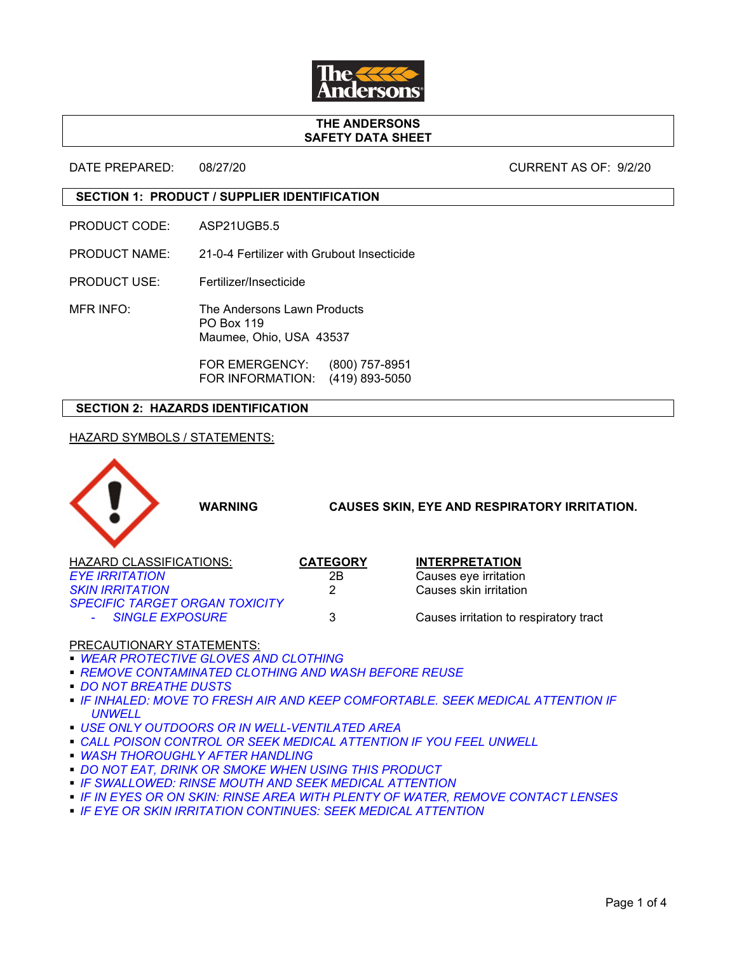

### **THE ANDERSONS SAFETY DATA SHEET**

DATE PREPARED: 08/27/20 CURRENT AS OF: 9/2/20

## **SECTION 1: PRODUCT / SUPPLIER IDENTIFICATION**

- PRODUCT CODE: ASP21UGB5.5
- PRODUCT NAME: 21-0-4 Fertilizer with Grubout Insecticide
- PRODUCT USE: Fertilizer/Insecticide
- MFR INFO: The Andersons Lawn Products PO Box 119 Maumee, Ohio, USA 43537

FOR EMERGENCY: (800) 757-8951 FOR INFORMATION: (419) 893-5050

## **SECTION 2: HAZARDS IDENTIFICATION**

## HAZARD SYMBOLS / STATEMENTS:



## PRECAUTIONARY STATEMENTS:

- *WEAR PROTECTIVE GLOVES AND CLOTHING*
- *REMOVE CONTAMINATED CLOTHING AND WASH BEFORE REUSE*
- *DO NOT BREATHE DUSTS*
- *IF INHALED: MOVE TO FRESH AIR AND KEEP COMFORTABLE. SEEK MEDICAL ATTENTION IF UNWELL*
- *USE ONLY OUTDOORS OR IN WELL-VENTILATED AREA*
- **CALL POISON CONTROL OR SEEK MEDICAL ATTENTION IF YOU FEEL UNWELL**
- *WASH THOROUGHLY AFTER HANDLING*
- **DO NOT EAT, DRINK OR SMOKE WHEN USING THIS PRODUCT**
- *IF SWALLOWED: RINSE MOUTH AND SEEK MEDICAL ATTENTION*
- *IF IN EYES OR ON SKIN: RINSE AREA WITH PLENTY OF WATER, REMOVE CONTACT LENSES*
- *IF EYE OR SKIN IRRITATION CONTINUES: SEEK MEDICAL ATTENTION*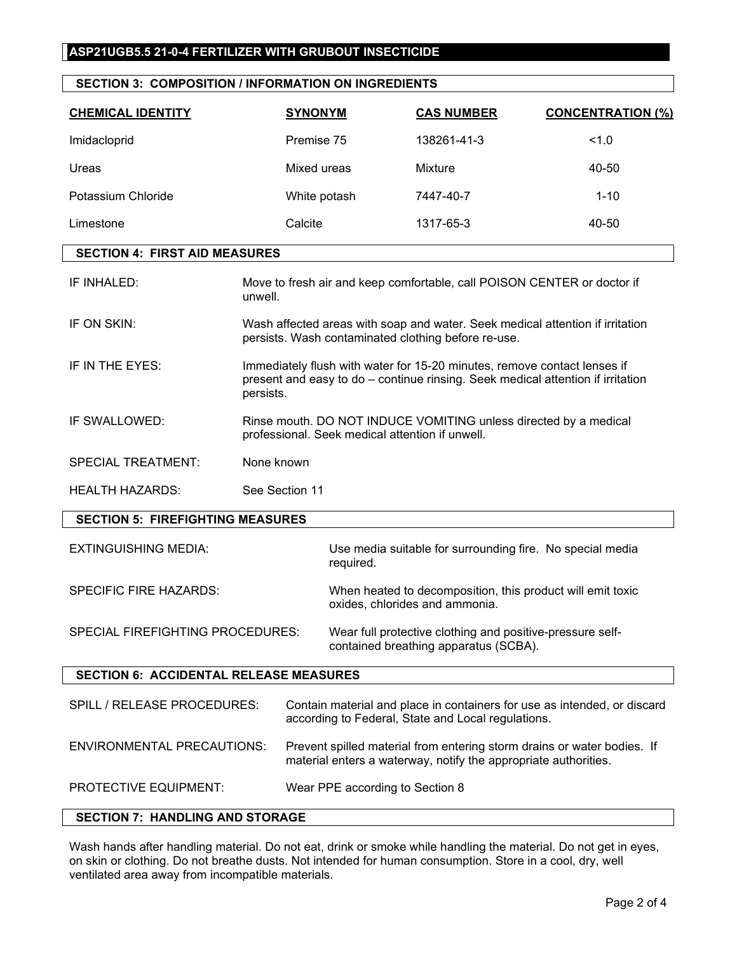# **ASP21UGB5.5 21-0-4 FERTILIZER WITH GRUBOUT INSECTICIDE**

|  |  | <b>SECTION 3: COMPOSITION / INFORMATION ON INGREDIENTS</b> |  |
|--|--|------------------------------------------------------------|--|
|--|--|------------------------------------------------------------|--|

| <b>CHEMICAL IDENTITY</b> | <b>SYNONYM</b> | <b>CAS NUMBER</b> | <b>CONCENTRATION (%)</b> |
|--------------------------|----------------|-------------------|--------------------------|
| Imidacloprid             | Premise 75     | 138261-41-3       | 1.0                      |
| Ureas                    | Mixed ureas    | Mixture           | 40-50                    |
| Potassium Chloride       | White potash   | 7447-40-7         | $1 - 10$                 |
| Limestone                | Calcite        | 1317-65-3         | 40-50                    |

## **SECTION 4: FIRST AID MEASURES**

| IF INHALED:               | Move to fresh air and keep comfortable, call POISON CENTER or doctor if<br>unwell.                                                                                       |
|---------------------------|--------------------------------------------------------------------------------------------------------------------------------------------------------------------------|
| IF ON SKIN:               | Wash affected areas with soap and water. Seek medical attention if irritation<br>persists. Wash contaminated clothing before re-use.                                     |
| IF IN THE EYES:           | Immediately flush with water for 15-20 minutes, remove contact lenses if<br>present and easy to do – continue rinsing. Seek medical attention if irritation<br>persists. |
| IF SWALLOWED:             | Rinse mouth. DO NOT INDUCE VOMITING unless directed by a medical<br>professional. Seek medical attention if unwell.                                                      |
| <b>SPECIAL TREATMENT:</b> | None known                                                                                                                                                               |
| <b>HEALTH HAZARDS:</b>    | See Section 11                                                                                                                                                           |

### **SECTION 5: FIREFIGHTING MEASURES**

EXTINGUISHING MEDIA: Use media suitable for surrounding fire. No special media required.

SPECIFIC FIRE HAZARDS: When heated to decomposition, this product will emit toxic oxides, chlorides and ammonia.

SPECIAL FIREFIGHTING PROCEDURES: Wear full protective clothing and positive-pressure selfcontained breathing apparatus (SCBA).

### **SECTION 6: ACCIDENTAL RELEASE MEASURES**

| SPILL / RELEASE PROCEDURES:       | Contain material and place in containers for use as intended, or discard<br>according to Federal, State and Local regulations.             |
|-----------------------------------|--------------------------------------------------------------------------------------------------------------------------------------------|
| <b>ENVIRONMENTAL PRECAUTIONS:</b> | Prevent spilled material from entering storm drains or water bodies. If<br>material enters a waterway, notify the appropriate authorities. |
| <b>PROTECTIVE EQUIPMENT:</b>      | Wear PPE according to Section 8                                                                                                            |

## **SECTION 7: HANDLING AND STORAGE**

Wash hands after handling material. Do not eat, drink or smoke while handling the material. Do not get in eyes, on skin or clothing. Do not breathe dusts. Not intended for human consumption. Store in a cool, dry, well ventilated area away from incompatible materials.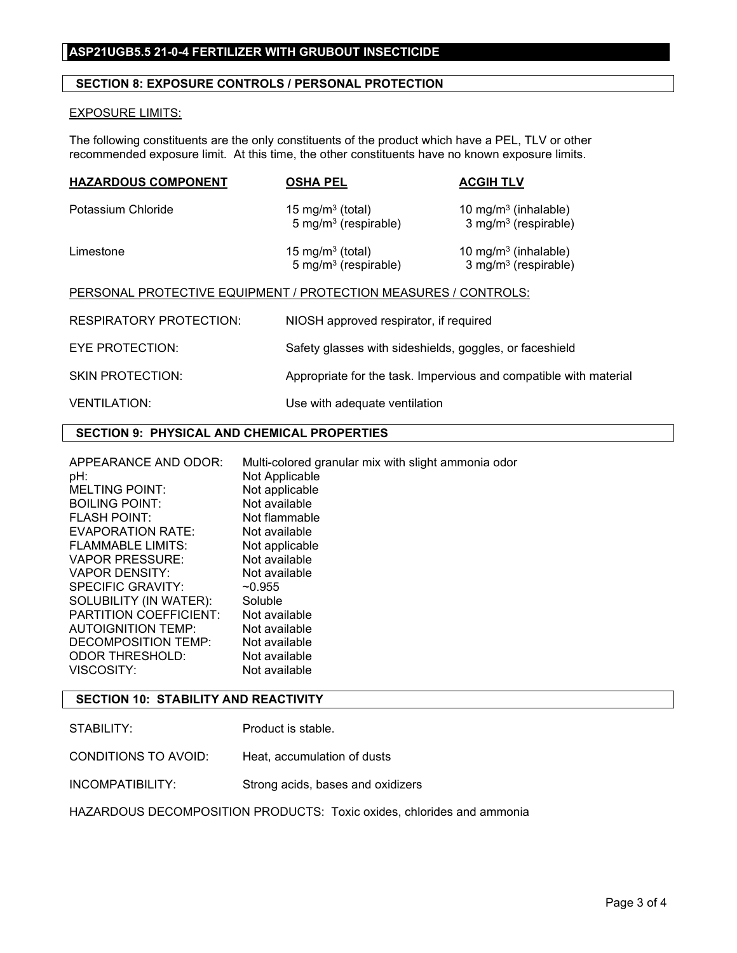## **ASP21UGB5.5 21-0-4 FERTILIZER WITH GRUBOUT INSECTICIDE**

## **SECTION 8: EXPOSURE CONTROLS / PERSONAL PROTECTION**

#### EXPOSURE LIMITS:

The following constituents are the only constituents of the product which have a PEL, TLV or other recommended exposure limit. At this time, the other constituents have no known exposure limits.

| <b>HAZARDOUS COMPONENT</b>                                      | <b>OSHA PEL</b>                                                  | <b>ACGIH TLV</b>                                                  |
|-----------------------------------------------------------------|------------------------------------------------------------------|-------------------------------------------------------------------|
| Potassium Chloride                                              | 15 mg/m <sup>3</sup> (total)<br>5 mg/m <sup>3</sup> (respirable) | 10 mg/m $3$ (inhalable)<br>$3$ mg/m <sup>3</sup> (respirable)     |
| Limestone                                                       | 15 mg/m <sup>3</sup> (total)<br>$5 \text{ mg/m}^3$ (respirable)  | 10 mg/m $3$ (inhalable)<br>$3$ mg/m <sup>3</sup> (respirable)     |
| PERSONAL PROTECTIVE EQUIPMENT / PROTECTION MEASURES / CONTROLS: |                                                                  |                                                                   |
| <b>RESPIRATORY PROTECTION:</b>                                  | NIOSH approved respirator, if required                           |                                                                   |
| EYE PROTECTION:                                                 | Safety glasses with sideshields, goggles, or faceshield          |                                                                   |
| <b>SKIN PROTECTION:</b>                                         |                                                                  | Appropriate for the task. Impervious and compatible with material |
| <b>VENTILATION:</b>                                             | Use with adequate ventilation                                    |                                                                   |

## **SECTION 9: PHYSICAL AND CHEMICAL PROPERTIES**

APPEARANCE AND ODOR: Multi-colored granular mix with slight ammonia odor pH: Not Applicable<br>
MELTING POINT: Not applicable MELTING POINT: Not applicable<br>BOILING POINT: Not available BOILING POINT: Not available<br>FLASH POINT: Not flammable FLASH POINT: EVAPORATION RATE: Not available FLAMMABLE LIMITS: Not applicable VAPOR PRESSURE: Not available VAPOR DENSITY: Not available SPECIFIC GRAVITY: ~0.955 SOLUBILITY (IN WATER): Soluble<br>PARTITION COEFFICIENT: Not available **PARTITION COEFFICIENT: Not available<br>AUTOIGNITION TEMP: Not available** AUTOIGNITION TEMP: Not available<br>DECOMPOSITION TEMP: Not available DECOMPOSITION TEMP: Not available<br>ODOR THRESHOLD: Not available ODOR THRESHOLD: VISCOSITY: Not available

## **SECTION 10: STABILITY AND REACTIVITY**

CONDITIONS TO AVOID: Heat, accumulation of dusts

#### INCOMPATIBILITY: Strong acids, bases and oxidizers

HAZARDOUS DECOMPOSITION PRODUCTS: Toxic oxides, chlorides and ammonia